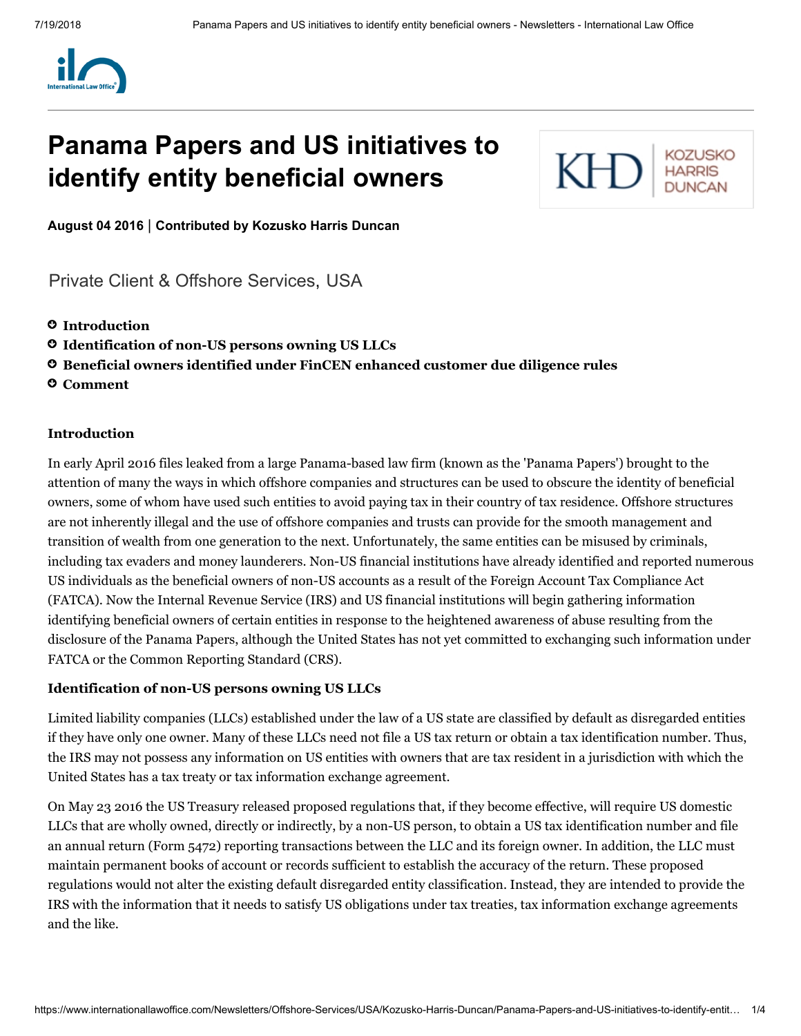

# **Panama Papers and US initiatives to identify entity beneficial owners**



**August 04 2016** | **Contributed by [Kozusko](https://www.internationallawoffice.com/Directory/Kozusko-Harris-Duncan/New-York-NY) Harris Duncan**

[Private Client & Offshore Services,](https://www.internationallawoffice.com/Search?at=Updates&cfn=Kozusko+Harris+Duncan&ws=Private+Client+%26+Offshore+Services) [USA](https://www.internationallawoffice.com/Search?at=Updates&cfn=Kozusko+Harris+Duncan&js=USA)

- **[Introduction](#page-0-0)**
- **Identification of non-US [persons owning](#page-0-1) US LLCs**
- **Beneficial [owners identified](#page-1-0) under FinCEN enhanced customer due diligence rules**
- **[Comment](#page-2-0)**

#### <span id="page-0-0"></span>**Introduction**

In early April 2016 files leaked from a large Panama-based law firm (known as the 'Panama Papers') brought to the attention of many the ways in which offshore companies and structures can be used to obscure the identity of beneficial owners, some of whom have used such entities to avoid paying tax in their country of tax residence. Offshore structures are not inherently illegal and the use of offshore companies and trusts can provide for the smooth management and transition of wealth from one generation to the next. Unfortunately, the same entities can be misused by criminals, including tax evaders and money launderers. Non-US financial institutions have already identified and reported numerous US individuals as the beneficial owners of non-US accounts as a result of the Foreign Account Tax Compliance Act (FATCA). Now the Internal Revenue Service (IRS) and US financial institutions will begin gathering information identifying beneficial owners of certain entities in response to the heightened awareness of abuse resulting from the disclosure of the Panama Papers, although the United States has not yet committed to exchanging such information under FATCA or the Common Reporting Standard (CRS).

## <span id="page-0-1"></span>**Identification of non-US persons owning US LLCs**

Limited liability companies (LLCs) established under the law of a US state are classified by default as disregarded entities if they have only one owner. Many of these LLCs need not file a US tax return or obtain a tax identification number. Thus, the IRS may not possess any information on US entities with owners that are tax resident in a jurisdiction with which the United States has a tax treaty or tax information exchange agreement.

On May 23 2016 the US Treasury released proposed regulations that, if they become effective, will require US domestic LLCs that are wholly owned, directly or indirectly, by a non-US person, to obtain a US tax identification number and file an annual return (Form 5472) reporting transactions between the LLC and its foreign owner. In addition, the LLC must maintain permanent books of account or records sufficient to establish the accuracy of the return. These proposed regulations would not alter the existing default disregarded entity classification. Instead, they are intended to provide the IRS with the information that it needs to satisfy US obligations under tax treaties, tax information exchange agreements and the like.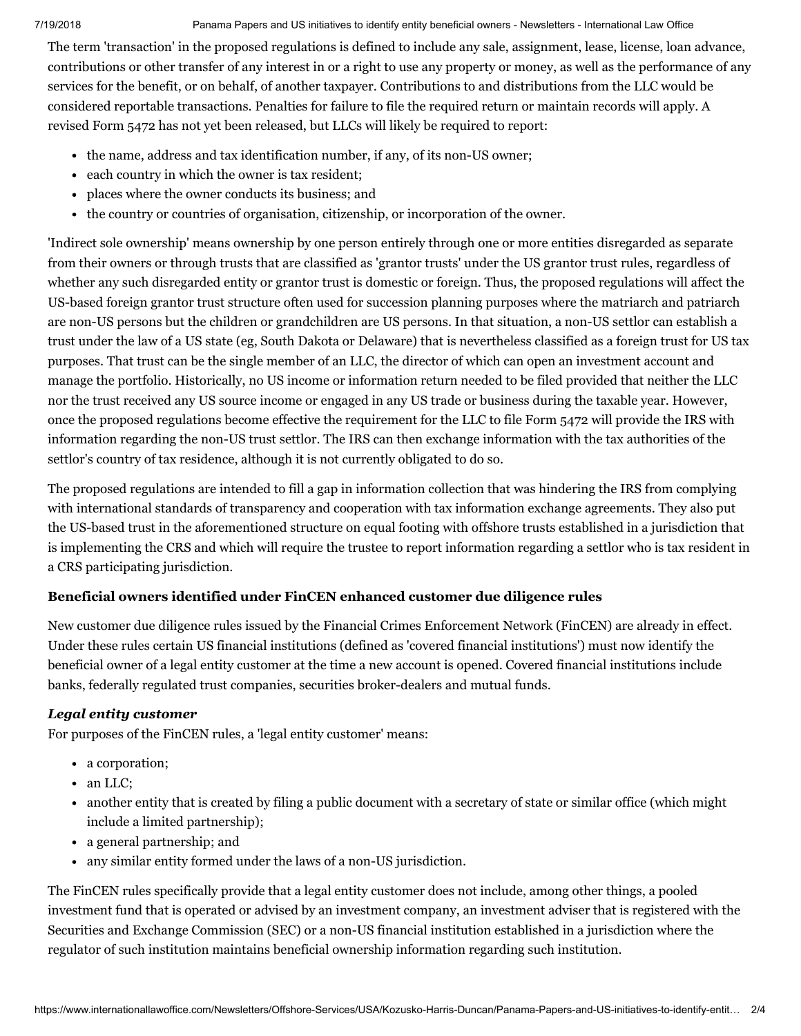#### 7/19/2018 Panama Papers and US initiatives to identify entity beneficial owners - Newsletters - International Law Office

The term 'transaction' in the proposed regulations is defined to include any sale, assignment, lease, license, loan advance, contributions or other transfer of any interest in or a right to use any property or money, as well as the performance of any services for the benefit, or on behalf, of another taxpayer. Contributions to and distributions from the LLC would be considered reportable transactions. Penalties for failure to file the required return or maintain records will apply. A revised Form 5472 has not yet been released, but LLCs will likely be required to report:

- the name, address and tax identification number, if any, of its non-US owner;
- each country in which the owner is tax resident;
- places where the owner conducts its business; and
- the country or countries of organisation, citizenship, or incorporation of the owner.

'Indirect sole ownership' means ownership by one person entirely through one or more entities disregarded as separate from their owners or through trusts that are classified as 'grantor trusts' under the US grantor trust rules, regardless of whether any such disregarded entity or grantor trust is domestic or foreign. Thus, the proposed regulations will affect the US-based foreign grantor trust structure often used for succession planning purposes where the matriarch and patriarch are non-US persons but the children or grandchildren are US persons. In that situation, a non-US settlor can establish a trust under the law of a US state (eg, South Dakota or Delaware) that is nevertheless classified as a foreign trust for US tax purposes. That trust can be the single member of an LLC, the director of which can open an investment account and manage the portfolio. Historically, no US income or information return needed to be filed provided that neither the LLC nor the trust received any US source income or engaged in any US trade or business during the taxable year. However, once the proposed regulations become effective the requirement for the LLC to file Form 5472 will provide the IRS with information regarding the non-US trust settlor. The IRS can then exchange information with the tax authorities of the settlor's country of tax residence, although it is not currently obligated to do so.

The proposed regulations are intended to fill a gap in information collection that was hindering the IRS from complying with international standards of transparency and cooperation with tax information exchange agreements. They also put the US-based trust in the aforementioned structure on equal footing with offshore trusts established in a jurisdiction that is implementing the CRS and which will require the trustee to report information regarding a settlor who is tax resident in a CRS participating jurisdiction.

# <span id="page-1-0"></span>**Beneficial owners identified under FinCEN enhanced customer due diligence rules**

New customer due diligence rules issued by the Financial Crimes Enforcement Network (FinCEN) are already in effect. Under these rules certain US financial institutions (defined as 'covered financial institutions') must now identify the beneficial owner of a legal entity customer at the time a new account is opened. Covered financial institutions include banks, federally regulated trust companies, securities broker-dealers and mutual funds.

# *Legal entity customer*

For purposes of the FinCEN rules, a 'legal entity customer' means:

- a corporation;
- an LLC;
- another entity that is created by filing a public document with a secretary of state or similar office (which might include a limited partnership);
- a general partnership; and
- any similar entity formed under the laws of a non-US jurisdiction.

The FinCEN rules specifically provide that a legal entity customer does not include, among other things, a pooled investment fund that is operated or advised by an investment company, an investment adviser that is registered with the Securities and Exchange Commission (SEC) or a non-US financial institution established in a jurisdiction where the regulator of such institution maintains beneficial ownership information regarding such institution.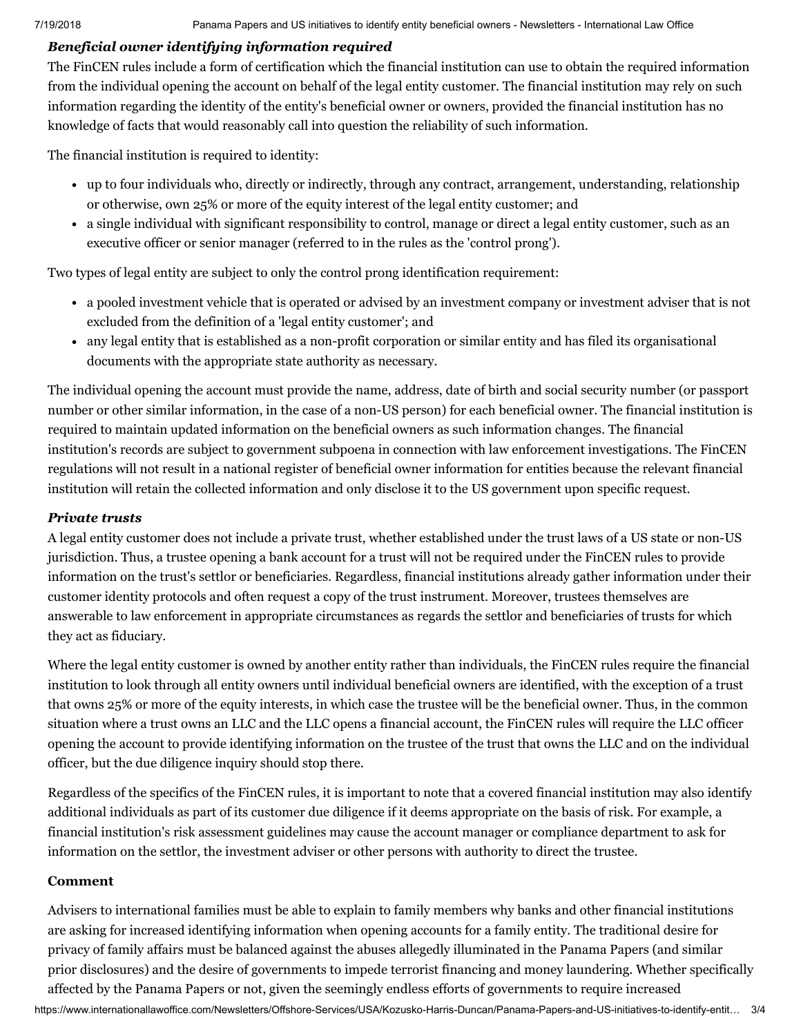# *Beneficial owner identifying information required*

The FinCEN rules include a form of certification which the financial institution can use to obtain the required information from the individual opening the account on behalf of the legal entity customer. The financial institution may rely on such information regarding the identity of the entity's beneficial owner or owners, provided the financial institution has no knowledge of facts that would reasonably call into question the reliability of such information.

The financial institution is required to identity:

- up to four individuals who, directly or indirectly, through any contract, arrangement, understanding, relationship or otherwise, own 25% or more of the equity interest of the legal entity customer; and
- a single individual with significant responsibility to control, manage or direct a legal entity customer, such as an executive officer or senior manager (referred to in the rules as the 'control prong').

Two types of legal entity are subject to only the control prong identification requirement:

- a pooled investment vehicle that is operated or advised by an investment company or investment adviser that is not excluded from the definition of a 'legal entity customer'; and
- any legal entity that is established as a non-profit corporation or similar entity and has filed its organisational documents with the appropriate state authority as necessary.

The individual opening the account must provide the name, address, date of birth and social security number (or passport number or other similar information, in the case of a non-US person) for each beneficial owner. The financial institution is required to maintain updated information on the beneficial owners as such information changes. The financial institution's records are subject to government subpoena in connection with law enforcement investigations. The FinCEN regulations will not result in a national register of beneficial owner information for entities because the relevant financial institution will retain the collected information and only disclose it to the US government upon specific request.

# *Private trusts*

A legal entity customer does not include a private trust, whether established under the trust laws of a US state or non-US jurisdiction. Thus, a trustee opening a bank account for a trust will not be required under the FinCEN rules to provide information on the trust's settlor or beneficiaries. Regardless, financial institutions already gather information under their customer identity protocols and often request a copy of the trust instrument. Moreover, trustees themselves are answerable to law enforcement in appropriate circumstances as regards the settlor and beneficiaries of trusts for which they act as fiduciary.

Where the legal entity customer is owned by another entity rather than individuals, the FinCEN rules require the financial institution to look through all entity owners until individual beneficial owners are identified, with the exception of a trust that owns 25% or more of the equity interests, in which case the trustee will be the beneficial owner. Thus, in the common situation where a trust owns an LLC and the LLC opens a financial account, the FinCEN rules will require the LLC officer opening the account to provide identifying information on the trustee of the trust that owns the LLC and on the individual officer, but the due diligence inquiry should stop there.

Regardless of the specifics of the FinCEN rules, it is important to note that a covered financial institution may also identify additional individuals as part of its customer due diligence if it deems appropriate on the basis of risk. For example, a financial institution's risk assessment guidelines may cause the account manager or compliance department to ask for information on the settlor, the investment adviser or other persons with authority to direct the trustee.

## <span id="page-2-0"></span>**Comment**

https://www.internationallawoffice.com/Newsletters/Offshore-Services/USA/Kozusko-Harris-Duncan/Panama-Papers-and-US-initiatives-to-identify-entit… 3/4 Advisers to international families must be able to explain to family members why banks and other financial institutions are asking for increased identifying information when opening accounts for a family entity. The traditional desire for privacy of family affairs must be balanced against the abuses allegedly illuminated in the Panama Papers (and similar prior disclosures) and the desire of governments to impede terrorist financing and money laundering. Whether specifically affected by the Panama Papers or not, given the seemingly endless efforts of governments to require increased